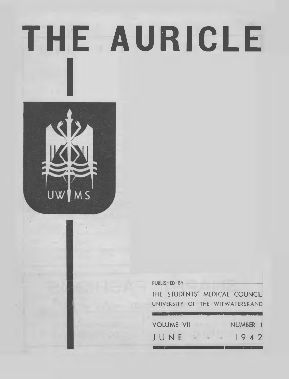# **THE AURICLE I MS** PUBLISHED BY-**THE STUDENTS' MEDICAL COUNCIL** UNIVERSITY OF THE WITWATERSRAND - **VOLUME VII NUMBER 1** JUNE 19 4 2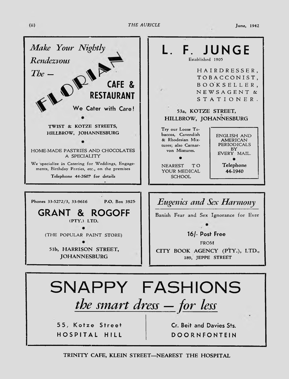

**5 5 , Kotze Street Cr. Beit and Davies Sts. HOSPITAL HILL DOORNFONTEIN**

**TRINITY CAFE, KLEIN STREET— NEAREST THE HOSPITAL**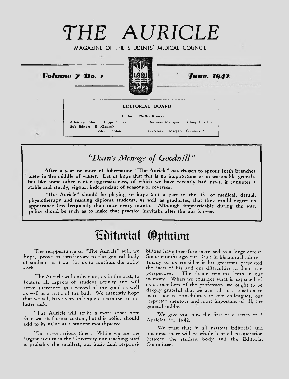## *THE AURICLE*

MAGAZINE OF THE STUDENTS' MEDICAL COUNCIL



"Dean's Message of Goodwill"

**After a year or more of hibernation "The Auricle" has chosen to sprout forth branches anew in the middle of winter. Let us hope that this is no inopportune or unseasonable growth; but like some other winter aggressiveness, of which we have recently had news, it connotes a stable and sturdy, vigour, independant of seasons or reverses.**

**"The Auricle" should be playing so important a part in the life of medical, dental, physiotherapy and nursing diploma students, as well as graduates, that they would regret its appearance less frequently than once every month. Although impracticable during the war, policy shoud be such as to make that practice inevitabe after the war is over.**

## Editorial Opinion

The reappearance of "The Auricle" will, we hope, prove as satisfactory to the general body of students as it was for us to continue the noble work.

The Auricle will endeavour, as in the past, to feature all aspects of student activity and will serve, therefore, as a record of the good as well as well as a critic of the bad. We earnestly hope that we will have very infrequent recourse to our latter task.

"The Auricle will strike a more sober note than was its former custom, but this policy should add to its value as a student mouthpiecce.

These are serious times. While we are the largest faculty in the University our teaching staff is probably the smallest, our individual responsibilities have therefore increased to a large extent. Some months ago our Dean in his.annual address (many of us consider it his greatest) presented the facts of his and our difficulties in their true perspective. The theme remains fresh in our memory. When we consider what is expected of us as members of the profession, we ought to be deeply grateful that we are still in a position to learn our responsibilities to our colleagues, our respected mentors and most important of all, the general public.

We give you now the first of a series of 3 Auricles for 1942.

We trust that in all matters Editorial and business, there will be whole hearted co-operation between the student body and the Editorial Committee.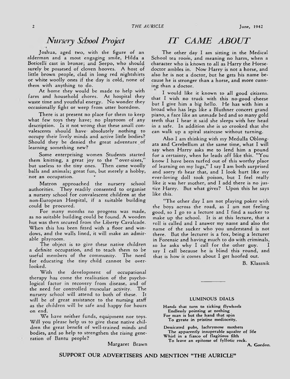## *Nursery School Project*

Joshua, aged two, with the figure of an alderman and a most engaging smile, Hilda a Boticelli cast in bronze; and Seepo, who should surely be possesed of cloven hooves. A host of little brown people, clad in long red nightshirts or white woolly ones if the day is cold, none of them with anything to do.

At home they would be made to help with farm and household chores. At hospital they waste time and youthful energy. No wonder they occasionally fight or weep from utter boredom.

There is at present no place for them to keep what few toys they have; no playroom of any description. Is it not wrong that these small convalescents should have- absolutely nothing to occupy their lively minds and active little bodies? Should they be denied the great adventure of learning something new?

Some enterprising women Students started them knitting, a great joy to the " over-sixes," but useless to the tiny ones. Then came woolly balls and animals; great fun, but merely a hobby, not an occupation.

Matron approached the nursery school authorities. They readily consented to organise a nursery school for convalescent children at the non-European Hospital, if a suitable building could be procured.

For many months no progress was made, as no suitable building could be found. A wooden hut was then secured from the Liberty Cavalcade. When this has been fitted with a floor and windows, and the walls lined, it will make an admirable playroom.

The object is to give these native children a definite occupation, and to teach them to be useful members of the community. The need for educating the tiny child cannot be overlooked.

With the development of occupational therapy has come the realisation of the psychological factor in recovery from disease, and of the need for controlled muscular activity. The nursery school will attend to both of these. It will be of great assistance to the nursing staff as the children will be safe and happy for hours on end.

We have neither funds, equipment nor toys. Will you please help us to give these native children the great benefit of well-trained minds and bodies, and so help to strengthen the rising generation of Bantu people?

Margaret Brawn

## *IT CAME ABOUT*

The other day I am sitting in the Medical School tea room, and meaning no harm, when a character who is known to all as Harry the Horsedoctor ambles in. Now Harry is not a horse, and also he is not a doctor, but he gets his name because he is stronger than a horse, and more cunning than a doctor.

I would like it known to all good citizens, that I wish no truck with this no-good • cheese but I give him a big hello. He has with him a broad who has legs like a Bluthner concert grand piano, a face like an unmade bed and so many gold teeth that I hear it said she sleeps with her head in a safe. In addition she is so crooked that she can walk up a spiral staircase without turning.

Also I am thinking with my Medulla Oblongata and Cerebellum at the same time, what I will say when Harry asks me to lend him a pound for a certainty, when he leads off like this. "Y ou know I have been turfed out of this worthy place of learning on my lugs," I say I am both surprised and sorry to hear that, and I look hurt like my ever-loving doll took poison, but I feel really like it was her mother, and I add there is no justice Harry. But what gives? Upon this he says like this.

"The other day I am not playing poker with the boys across the road, as I am not feeling good, so I go to a lecture and I find a sucker to make up the school. It is at this lecture, that a roll is called and I answer my name and also the name of the sucker who you understand is not there. But the lecturer is a fox, being a lecturer in Forensic and having much to do with criminals, so he asks why I call for the other guy. I say I call because he is blind this round, and that is how it comes about I get hoofed out.

B. Klassnik

### LUMINOUS DIALS

Hands that turn to ticking flywheels Endlessly pointing at nothing For man is but the hand that spin To gyrate in pristine mediocrity.

Dessicated pubs, lachrymose mothers The apparently insuperable squalor of life Whirl in a fiasco of flagitious filth

To leave an epitome of fylfotic rock.

A. Gordon.

## **SUPPORT OUR ADVERTISERS AND MENTION "THE AURICLE"**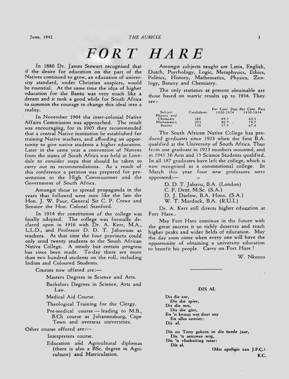June, 1942 *THE AURICLE* 3

## *T HARE*

In 1880 Dr. James Stewart recognised that if the desire for education on the part of the Natives continued to grow, an education of university standard, under Christian auspices, would be essential. At the same time the idea of higher education for the Bantu was very much like a dream and it took a good while for South Africa to summon the courage to change this ideal into a reality.

In November 1904 the inter-colonial Native Affairs Commission was approached. The result was encouraging, for in 1905 they recommended that a central Native institution be established for training Native teachers, and affording an opportunity to give native students a higher education. Later in the same year a convention of Natives from the states of South Africa was held at Lovedale to consider steps that should be taken to carry out its recommendations. As a result of this conference a petition was prepared for presentation to the High Commissioner and the Government of South Africa.

Amongst those to spread propaganda in the years that followed were men like the late the Hon. J. W. Paur, General Sir C. P. Crewe and Senator the Hon. Colonel Stanford.

In 1914 the constitution of the college was finally adopted. The college was formally declared open in 1916 with Dr. A. Kerr, M.A., L.L.D., and Professor D. D. T. Jabawuas as teachers. At that time the four provinces could only send twenty students to the South African Native College. A steady but certain progress has since been made. To-day there are more than two hundred students on the roll, including Indian and Coloured Students.

**Courses now offered are:—**

Masters Degrees in Science and Arts.

Bachelors Degrees in Science, Arts and Law.

Medical Aid Course.

Theological Training for the Clergy.

Pre-medical course — leading to M.B., B.Ch course at Johannesburg, Cape Town and overseas universities.

Other course offered are:—

**Interpreters course.**

**Education and Agricultural diplomas (there is also a BSc. degree in Agriculture) and Matriculation.**

Amongst subjects taught are Latin, English, Dutch, Psychology, Logic, Metaphysics, Ethics, Politics, History, Mathematics, Physics, Zoology, Botany and Chemistry.

The only statistics at present obtainable are those based on matric results up to 1934. They are:-

| Subject<br>Physics and | Candidates | 1920-1924 | Per Cent. Pass Per Cent. Pass<br>1930-1934 |
|------------------------|------------|-----------|--------------------------------------------|
| Chemistry              | 280        | 49.1      | 62.3                                       |
| Mathematics            | 253        | 80 7      | 79.7                                       |
| Botany                 | 126        | 37.5      | 67.4                                       |

The South African Native College has produced graduates since 1923 when the first B.A. qualified at the University of South Africa. Thus from one graduate in 1923 numbers mounted, and in 1941 30 Arts and 15 Science Students qualified. In all 187 graduates have left the college, which is now recognised as a constitutional college. In March this year four new professors were appointed:—

D. D. T. Jabavu, B.A. (London)

C. P. Dent, M.Sc. (S.A.)

D. J. Darlow, B.A. Hons. (S.A.)

W. T. Murdock, B.A. (R.U.I.)

Dr. A. Kerr still directs higher education at Fort Hare..

May Fort Hare continue in the future with the great success it so richly deserves and reach higher peaks and wider fields of education. May the day soon come when every one will have the opportunity of obtaining a university education to benefit his people. Carry on Fort Hare !

W. Nkomo

#### DIS AL

Dis die aar, Dis die spier, Dis die mis, Dis die gier, En 'n knaap wat daar sny En alles ontsier: Dis al.

Dis ou Tony gekom in die twede jaar, Dis 'n senuwee. weg, Dis 'n vloekuiting naar: Dis al.

(Met apoligie aan J.F.C.) R.C.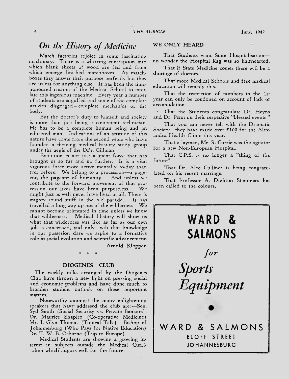## *On the History of Medicine*

Match factories rejoice in some fascinating machinery. There is a whirring contraption into which blank sheets of wood are fed and from which emerge finished matchboxes. As matchboxes they answer their purpose perfectly but they are usless for anything else. It has been the timehonoured custom of the Medical School to emulate this ingenious machine. Every year a number of students are engulfed and some of the complete articles disgorged— complete mechanics of the body.

But the doctor's duty to himself and society is more than just being a competent technician. He has to be a complete human being and an educated man. Indications of an attitude of this nature have come from the second years who have founded a thriving medical history study group under the aegis of the Dr's. Gillman.

Evolution is not just a spent force that has brought us so far and no further. It is a vital vigorous force more active mentally to-day than tver before. We belong to a procession—a pageent, the pageant of humanity. And unless we contribute to the forward movement of that procession our lives have been purposeless. We might just as well never have lived at all. There is mighty sound stuff in the old parade. It has travelled a long way up out of the wilderness. We cannot become orientated in time unless we know that wilderness. Medical History will show us what that wilderness was like as far as our own job is concerned, and only wth that knowledge in our possesion dare we aspire to a formative role in social evolution and scientific advancement.

Arnold Klopper.

sk :!: #

### **DIOGENES CLUB**

The weekly talks arranged by the Diogenes Club have thrown a new light on pressing social and economic problems and have done much to broaden student outlook on these important matters.

Noteworthy amongst the many enlightening speakers that have' addessed the club are:— Sen. Syd Smith (Social Security vs. Private Bankers). Dr. Maurice Shapiro (Co-operative Medicine) Mr. I. Glyn Thomas (Topical Talk). Bishop of Johannesburg (Who Pays for Native Education) Dr. T. W. B. Osborne (Trip to Europe)

Medical Students are showing a growing interest in subjects outside the Medical Curriculum which\* augurs well for the future.

### **WE ONLY HEARD**

That Students want State Hospitalisation no wonder the Hospital Rag was so halfhearted.

That if State Medicine comes there will be a shortage of doctors..

That more Medical Schools and free medical education will remedy this.

That the restriction of numbers in the 1st year can only be condoned on account of lack of accomodation.

That the Students congratulate Dr. Heyns and Dr. Penn on their respective "blessed events."

That you can never tell with the Dramatic Society— they have made over £100 for the Alexandra Health Clinic this year.

That a layman, Mr. R. Currie was the agitator for a new Non-European Hospital.

That C.P.S. is no longer a "thing of the future"

That Dr. Alec Culliner is being congratulated on his recent marriage.

That Professor A. Dighton Stammers has been called to the colours.

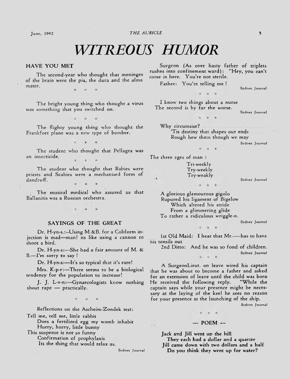## *WITREOUS HUMOR*

### **HAVE YOU MET**

The second-year who thought that meninges of the brain were the pia, the dura and the alma mater.  $\mathbf{x}^*_{i^*} = \begin{bmatrix} \mathbf{x}_{i^*} & \cdots & \mathbf{x}_{i^*} \end{bmatrix}$ 

The bright young thing who thought a virus was something that you switched on.

\* \* \*

The flighty young thing who thought the Frankfort plane was a new type of bomber.

 $x^2$   $x^3$ 

an insecticide.<br>state : state : state : state : state : state : state : state : state : state : state : state : state : state The student who thought that Pellagra was

The student who thought that Rabies were priests and Scabies were a mechanised form of dandruff. \* \* \*

The musical medical who assured us that Ballanitis was a Russian orchestra.

 $\mathbf{r}$ 

 $\frac{1}{12}$ 

**SAYINGS OF THE GREAT**

Dr. H-yn-s.:—Using M.&B. for a Coliform injection is mad— man! its like using a cannon to shoot a bird.

Dr. H-yn-s:— She had a fair amount of M. *&C* B.— I'm sorry to say !

Dr. H-yn-s:— It's so typical that it's rare!

Mrs. K-p-r:— There seems to be a biological tendency for the population to increase!

**J. J.** L-v-n:— Gynaecologists know nothing about rape — practically.

 $i^{\dagger}$ e sis :  $i^{\dagger}_{i}$ e sis :

Reflections on the Ascheim-Zondek test:

Tell me, tell me, little rabbit

Does a fertilized egg my womb inhabit Hurry, hurry, little bunny

This suspense is not so funny

×.

Confirmation of prophylaxis

Its the thing that would relax us.

Sydney Journal

Surgeon (As over hasty father of triplets rushes into confinement ward): "Hey, you can't come in here. You're not sterile.

Father: You're telling me!

Sydney Journal

I know two things about a nurse The second is by far the worse.

Sydney Journal

Why circumsise? ................................................. 'Tis destiny that shapes our ends ............ Rough hew them though we may

\* \*

Sydney Journal

The three ages of man :

Tri-weekly Try-weekly Try-weakly

章 章 章

❖ \* \*

Sydney Journal

A glorious glamourous gigolo Rupured his ligament of Bigelow Which altered his stride From a glimmering glide To rather a ridiculous wriggle-o.

Sydney Journal

1st Old Maid: I hear that Mr...... has to have his tonsils out

2nd Ditto: And he was so fond of children. Sydney Journal  $\circ$   $\circ$   $\circ$ 

A SurgeonLieut. on leave wired his captain that he was about to become a father and asked for an extension of leave until the child was born He received the following reply. "While the captain says while your presence might be necessary at the laying of the keel he sees no reason for your presence at the launching of the ship.

Sydney Journal

## $0 0 0 0$ **— POEM —**

**Jack and Jill went up the hill They each had a dollar and a quarter Jill came down with two dollars and a half Do you think they went up for water?**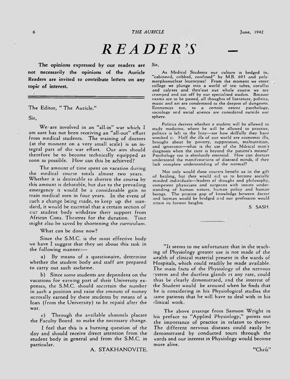6 *THE AURICLE* June, 1942

## *READERS -*

**The opinions expressed by our readers are not necessarily the opinions of the Auricle Readers are invited to contribute letters on any topic of interest.**

The Editor, " The Auricle."

Sir,

W e-are involved in an "all-in" war which I am sure has not been receiving an "all-out" effort from medical students. The training of doctors (at the moment on a very small scale) is an integral part of the war effort. Our aim should therefore be to become technically equipped as soon as possible. How can this be achieved?

The amount of time spent on vacation during the medical course totals almost two years. Whether it is desireable to shorten the coursa by this amount is debatable, but due to the prevailing emergency it would be a considerable gain to train medical men in four years. In the event of such a change being made, to keep up the standard, it would be essential that a certain section of cur student body withdraw their support from African Cons. Theatres for the duration. Time might also be saved by shortening the curriculum.

What can be done now?

Since the S.M.C. is the most effective body we have I suggest that they set about this task in the following manner:—

a) By means of a questionaire, determine whether the student body and staff are prepared to carry out such ascheme.

b) Since some students are dependent on the vacations for earning part of their University expenses, the S.M.C. should ascertain the number in such a position and raise the amount of money normally earned by these students by means of a loan (from the University) to be repaid after the war.

c) Through the available channels placate the Faculty Board to make the necessary change.

I feel that this is a burning question of the day and should receive direct attention from the student body in general and from the S.M.C. in particular.

A. STAKHANOVITE. THE STAKHANOVITE OF THE STAKHANOVITE.

Sir,

As Medical Students our culture is hedged in, "cabinned, cribbed, confined" by M B. 693 and polymorphonuclear leucocytes! From the moment we enter college we plunge into a world of test tubes, corollas and calyxes and thro'out our whole course we are cramped and cut o ff by our specialised studies. Because exams are to be passed, all thoughts of literature, politics, music and art are condemned to the deepest of dungeons. Economics too, to a certain extent psychology, sociology ar.d social science are considered outside our sphere.

Politics decrees whether a student will be allowed to study medicine, where he will be allowed to practice, politics is left to the laity— see how skilfully they have wrecked it. Half the ills of our world are economic ills, brought about by poverty, suppression, malnutrition, and ignorance— what is the use of the Mdcical man's diagnosis when the cure is beyond the patient's means? Psychology too is absolutely essential. How can doctors understand the manifestations of diseased minds, if they lack complete understanding of the normal?

Not only would these courses benefit us in the gift of healing, but they would aid us to become socially minded individuals— leaders of thought and philosophy, competent physicians and surgeons with innate understanding of human nature, human policy and human beings. The pristine gap of knowledge between doctor and layman would be bridged and our profession would attain its former heights.

S. SASH.

"It seems to me unfortunate that in the teaching of Physiology greater use is not made of the wealth of clinical material present in the wards of Hospitals, which could readily be made available. The main facts of the Physiology of the nervous rystem and the ductless glands at any rate, could thus be clearly demonstraed, and the interest of the Student would be aroused when he finds that he is considering in his Physiological studies the same patients that he will have to deal with in his clinical work.

The above passage from Samson Wright ip his preface to "Applied Physiology," points out the importance of practice in relaton to theory. The different nervous diseases could easily be demonstrated by conducted tours through the wards and our interest in Physiology would become more alive.

×.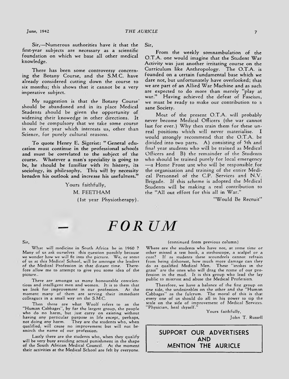Sir,— Numerous authorities have it that the first-year subjects are necessary as a scientific foundation on which we base all other medical knowledge.

There has been some controversy concerning the Botany Course, and the S.M.C. have already considered cutting down the course to six months; this shows that it cannot be a very imperative subject.

My suggestion is that the Botany Course' should be abandoned and in its place Medical Students should be given the opportunity of widening their knowedge in other directions. It should be compulsory that we take some course in our first year which interests us, other than Science, for purely cultural reasons.

To quote Henry E. Sigerist: "General education must continue in the professional schools and must be correlated to the subject of the course. Whatever a man's speciality is going to be, he should be familiar with its history, i'ts sociology, its philosophy. This will by necessity broaden his outlook and increase his usefulness."

> Yours faithfully, M. FEETHAM (1st year Physiotherapy).

Sir,

From the weekly somnambulation of the O.T.A. one would imagine that the Student War Activity was just another irritating course on the Curriculum like Anthropology. The O.T.A. is founded on a certain fundamental base which we dare not, but unfortunately have overlooked; that we are part of an Allied War Machine and as such are expected to do more than merely "play at war." Having achieved the defeat of Fascism, we must be ready to make our contribution to a sane Society.

Most of the present O.T.A. will probably never become Medical Officers (the war cannot last for ever.) Why then train them for these unreal positions which will never materialise. I would strongly recommend that the O.T.A. be divided into two parts. A) consisting of 5th and final year students who will be trained as Medical Officers and B) the remainder of the Students who should be trained purely for local emergency — a Home Front unt who will be responsible, for the organisation and training of the entire Medical Personnel of the C.P. Services and N.V. Brigade. If this scheme is adopted the Medical Students will be making a real contribution to the "All out effort for this all in War."

"W ould Be Recruit"

## *FOR UM*

#### Sir,

What will medicine in South Africa be in 1960 ? Many of us ask ourselves this question possibly because we wonder how we will fit into the picture. We, or some of us at this Medical School, will be amongst the leaders of the Medical Profession in that distant time. Therefore allow me to attempt to give you some idea of the picture..

There are amongst us many honourable conscientious and intelligent men and women. It is to them that we look for improvement in our profession. At the moment many of them are serving their immediate colleagues in a small way on the S.M.C.

Then there are what W oolf refers to as the "Human Cabbages" , by far the largest group, the people who do no harm, but just carry on existing without having any particular purpose in life except, perhaps, not doing any harm. They are the students who, when qualified, will cause no improvement but will not besmirch the name of our profession.

Lastly there are the students who, when they qualify will be very busy avoiding actual punishment in the shape of the South African Medical Council. At the moment their activities at the Medical School are felt by everyone.

#### (continued from previous column)

Where are the students who have not, at some time or other missed a test book, a stethoscope, a scalpel or a If as students these scoundrels cannot refrain from being dishonest, how much more damage can they do as qualified Medical Men. These "snakes in the grass" are the ones who will drag the name of our profession in the mud. It is this group who lead the lay public to mistrust and abuse the Medical Profession.

Therefore, we have a balance of the first group on one side, the undesirables on the other and the "Human Cabbages" as the fulcrum. The moral of this is that every one of us should do all in his power to tip the scale on the side of improvement of Medical Services. "Physician, heal thyself."

Yours faithfully,

John T. Russell

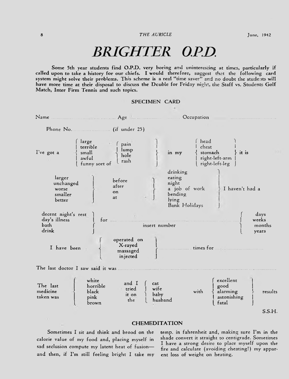8 *THE AURICLE* June, 1942

*BRIGHTER O.P.D.*

Some 5th year students find O.P.D. very boring and uninteresting at times, particularly if called upon to take a history for our chiefs. I would therefore, suggest that the following card system might solve their problems. This scheme is a real "time saver" and no doubt the students will have more time at their disposal to discuss the Dcuble for Friday night, the Staff vs. Students Golf Match, Inter Firm Tennis and such topics.



## **CHEMEDITATION**

Sometimes I sit and think and brood on the calorie value of my food and, placing myself in sad seclusion compute my latent heat of fusion and then, if I'm still feeling bright I take my

temp, in fahrenheit and, making sure I'm in the shade convert it straight to centigrade. Sometimes I have a strong desire to place myself upon the fire and calculate (avoiding cheating!) my apparent loss of weight on heating.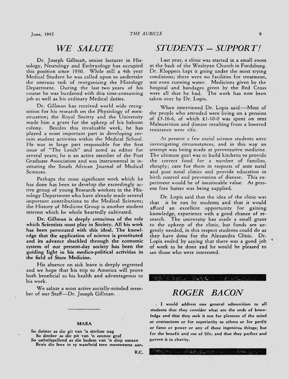## WE SALUTE

Dr. Joseph Gillmah, senior lecturer in Histology, Neurology and Embryology has occupied this position since 1930. While still a 4th year Medical Student he was called upon to undertake the onerous task of reorganising the Histology Department. During the last two years of his course he was burdened with this time-consuming job as well as his ordinary Medical duties.

Dr. Gillman has received world wide recognition for his research on the Physiology of menstruation; the Royal Society and the University made him a grant for the upkeep of his baboon colony. Besides this invaluable work, he has played a most important part in developing certain student activities within the Medical School. He was in large part responsible for the first issue of "The Leech" and acted as editor for several years; he is an active member of the Post Graduate Association and was instrumental in instituting the South African Journal of Medical Sciences.

Perhaps the most significant work which he has done has been to develop the exceedingly active group of young Research workers in the Histology Department who have already made several important contributions to the Medical Sciences; the History of Medicine Group is another student interest which he whole heartedly cultivated.

**Dr. Gillman is deeply conscious of the role which Scientists must play in Society. All his work has been permeated with this ideal. The knowledge that the application of science is prostituted and its advance shackled through the economic system of our present-day society has been the guiding light in his medico-political activities in the field of State Medicine.**

His absence on sick leave is deeply regretted and we hope that his trip to America will prove both beneficial to his health and advantageous to his work.

We salute a most active socially-minded member of our Staff— Dr. Joseph Gillman. .

#### MARA

So duister as die git van 'n sterlose nag So donker as die pit van 'n eeunoe graf So onheilspellend as die bodem van 'n diep oseaan Bruis die lewe in sy waarhcid teen tnenswesens aan.

R.C.

## $STU DENTS - SUPPORTI$

Last year, a clinic was started in a small room at the back of the Wesleyan Church in Fordsburg. Dr. Kloppers kept it going under the most trying conditions; there were no facilities for treatment, not even running water. Medicines given by the hospital and bandages given by the Red Cross were all that he had. The work has now been taken over by Dr. Lopis.

When interviewed Dr. Lopis said:— Most of the people who attended were living on a pension of £3-16-6, of which £1-10-0 was spent on rent Malnutrition and disease resulting from a lowered resistance were rife.

At present a few social science students were investigating circumstances, and in this way an attempt was being made at preventative medicine. The ultimate goal was to build kitchens to provide the correct food for a number of families, cheaply; care for them in respects of ante natal and post natal clinics and provide education in birth control and prevention of disease. This experiment would be of inestimable value. At present free butter was being supplied.

Dr. Lopis said that the idea of the clinic was that it be run by students and that it would afford an excellent opportunity for gaining knowledge, experience with a good chance of research. The university has made a small grant to the upkeep of the clinic, but funds are urgently needed, in this respect students could do as they have done for the Alexandra Clinic. Dr. Lopis ended by saying that there was a good job of work to be done and he would be pleased to see those who were interested.

#### Restaurant Company

## *R O G E R B A C O N*

. I would address one general admonition to all students that they consider what are the ends of knowledge and that they seek it not for pleasure of the mind or contentions or for superiority to others or for profit or fame or power or any of these ingenious things; but for the benefit and use of life; and that they perfect and govern it in charity.

**Report Follows** 

SANTA COMPANY COMPANY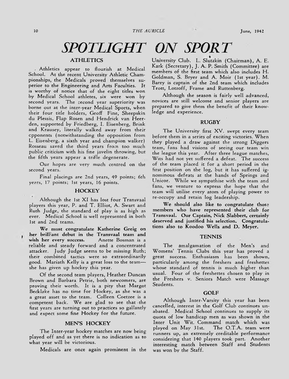### **ATHLETICS**

, Athletics appear to flourish at Medical School. At the recent University Athletic Championships, the Medicals proved themselves superior to the Engineering and Arts Faculties. It is worthy of notice that of the eight titles won by Medical School athletes, six were won by second years. The second year superiority was borne out at the inter-year Medical Sports, when their four title holders, Geoff Fine, Sheepskin du Plessis, Flap Rosen and Hendrick van Heerden, supported by Friedberg, I. Eisenberg, Brink and Krausey, literally walked away from their opponents (notwithstanding the opposition from L. Eisenberg, a sixth year and champion walker) Rosseau saved the third years from too much public criticism with his fine javelin throwing, but the fifth years appear a trifle degenerate.

Our hopes are very much centred on the second years.

Final placings are 2nd years, 49 points; 6th years, 17 points; 1st years, 16 points.

### **HOCKEY**

Although the 1st XI has lost four Transvaal players this year, P. and T. Elliot, A. Swart and Ruth Judge, the standard of play is as high as ever. Medical School is well represented in both 1st and 2nd teams.

**We must congratulate Katherine Greig on her brilliant debut in the Transvaal team and wish her every success.** Anette Bosman is a reliable and steady forward and a concentrated attacker. Judy Judge seems to be missing Ruth; their combined tactics were so extraordinarily good. Mariath Kelly is a great loss to the team she has given up hockey this year.

Of the second team players, Heather Duncan Brown and Barbara Petrie, both newcomers, are proving their worth. It is a pity that Margot Becklake has no time for Hockey, as she was a a great asset to the team. Colleen Coetzee is a competent back. We are glad to see that the first years are turning out to practices so gallantly and expect some fine Hockey for the future.

### **MEN'S HOCKEY**

The Inter-year hockey matches are now being played off and as yet there is no indication as to what year will be victorious.

Medicals are once again prominent in the

## *SPOTLIGHT ON SPORT*

University Club. L. Slutzkin (Chairman), A. E. Kark (Secretary), J. A. P. Smith (Committee) are members of the first team which also includes H. Goldman, S. Bryer and A. Moir (1st year). M. Barry is captain of the 2nd team which includes Trott, Lotzoff, Frame and Ruttenberg.

Although the season is fairly well advanced, novices are still welcome and senior players are prepared to give them the benefit of their knowledge and experience.

### **RUGBY**

The University first XV. swept every team before them in a series of exciting victories. When they played a draw against the strong Diggers team, fans had visions of seeing our team win the league this year. After three league matches, Wits had not yet suffered a defeat. The success of the team placed it for a short period in the first position on the log, but it has suffered ignominous defeats at the hands of Springs and LJnicor. While we sympathise with the team and fans, we venture to express the hope that the team will utilise every atom of playing power to re-occupy and retain log leadership.

**We should also like to congratulate those members who have represented their club for Transvaal. Our Captain, Nick Slabbert, certainly deserved and justified his selection. Congratulations also to Koodoo Wells and D. Meyer.**

### **TENNIS**

The amalgamation of the Men's and Womens' Tennis Clubs this year has proved a great success. Enthusiasm has been shown, particularly among the freshers and freshettes whose standard of tennis is much higher than usual. Four of the freshettes chosen to play in the Freshers v. Seniors Match were Massage Students.

### **GOLF**

Although Inter-Varsity this year has been cancelled, interest in the Golf Club continues unabated. Medical School continues to supply its quota of low handicap men as was shown in the Inter Unit Wit. Command match which was played on May 31st. The O.T.A. team were runners up, an extremely creditable performance considering that 140 players took part. Another interesting match between Staff and Students was won by the Staff.

 $\overline{\phantom{a}}$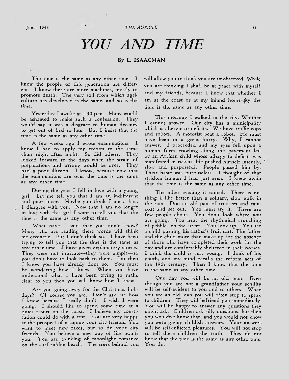June, 1942 **THE AURICLE THE AURICLE** 

## *YOU AND TIME*

### **By L. ISAACMAN**

The time is the same as any other time. I know the people of this generation are different. I know there are more machines, mostly to promote death. The very soil from which agriculture has developed is the same, and so is the time.

Yesterday I awoke at 1.30 p.m. Many would be ashamed to make such a confession. They would say it was a disgrace to human decency to get out of bed so late. But I insist that the time is the same as any other time.

A few weeks ago I wrote examinations. I know I had to apply my rectum to the same chair night after night. So did others. They looked forward to the days when the strain of preparations and writing would be over. They had a poor illusion. I know, because now that the examinations are over the time is the same as any other time.

During the year I fell in love with a young girl. Let' me tell you that I am an indifferent and poor lover. Maybe you think I am a liar; I disagree with you. Now that I am no longer in love with this girl I want to tell you that the time is the same as any other time.

What have 1 said that you don't know? Many who are reading these words will think me eccentric. But I don't think so. I have been trying to tell you that the time is the same as any other time. I have given explanatory stories. They were not intricate— they were simple— so you don't have to look back to them. But then I know you have already done so. You must be wondering how I knew. When you have understood what I have been trying to make clear to you then you will know how I knew.

Are you going away for the Christmas holidays? Of course you are. Don't ask me how I knew because I really don't. I wish I were going. I should like to spend some time at a quiet resort on the coast. I believe my constitution could do with a rest. You are very happy at the prospect of escaping your city friends. You want to meet new faces, but so do your city friends. You believe a new way of life, awaits you. You are thinking of moonlight romance on the surf-ridden beach. The trees behind you will allow you to think you are unobserved. While you are thinking I shall be at peace with myself and my friends, because I know that whether I am at the coast or at my inland home-city the time is the same as any other time.

This morning I walked in the city. Whither I cannot answer. Our city has a municipality which is allergic to deficits. We have traffic cops and robots. A motorist beat a robot. He must have been in a great hurry. Why, I cannot answer. I proceeded and my eyes fell upon a human form crawling along the pavement led by an African child whose allergy to deficits was manifested in rickets. He pushed himself intently, slow and purposeful. People passed him by. Their haste was purposeless. I thought of that stricken human I had just seen. I knew again that the time is the same as any other time.

The other evening it rained. There is nothing I like better than a solitary, slow walk in the rain. Don an old pair of trousers and raincoat and set out. You must try it. There are few people about. You don't look where you are going. You hear the rhythmical crunching of pebbles on the street. You look up. You see a child pushing his father's fruit cart. The father and the child more than make up for the absence of those who have completed their work for the day and are comfortably sheltered in their homes. I think the child is very young. I think of his youth, and my mind recalls the reform acts of the 19th century. Then I know that the time is the same as any other time.

One day you will be an old man. Even though you are not a grandfather your senility will be self-evident to you and to others. When you are an old man you will often stop to speak to children. They will befriend you immediately. You will be happy to answer any questions they might ask. Children ask silly questions, but then you wouldn't know that; and you would not know you were giving childish answers. Your answers will be self-inflicted pleasures. You will not stop to tell these children the truth. They do not know that the time is the same as any other time. You do.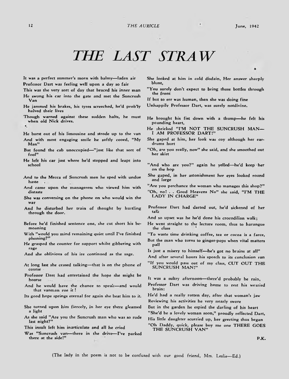## *THE LAST STRAW*

It was a perfect summer's morn with balmy— laden air Professor Dart was feeling well upon a day so fair

This was the very sort of day that braced his inner man

- He swung his car into the gate and met the Suncrush Van
- He jammed his brakes, his tyres screeched, he'd prob'ly halved their lives
- Though warned against these sudden halts, he must when old Nick drives.
- He burst out of his limousine and strode up to the van And with most engaging smile he softly cooed, "My Man"
- But found the cab unoccupied-"just like that sort of fool"
- He left his car just where he'd stopped and leapt into school
- And to the Mecca of Suncrush men he sped with undue haste
- And came upon the manageress who viewed him with distaste
- She was conversing on the phone on who would win the war
- And he disturbed her train of thought by hurtling through the door.
- Before he'd finished sentence one, she cut short his bemoaning
- With "would you mind remaining quiet until I've finished phoning?"
- He grasped the counter for support whilst gibbering with rage
- And she oblivious of his ire continued as the sage.
- At long last she ceased talking— that is on the phone of course ■
- Professor Dart had entertained the hope she might be hoarse
- And he would have the chance to speak— and would that vanman rue it !
- Its good hope springs eternal for again she beat him to it.
- She turned upon him fiercely, in her eye there gleamed a light
- As she said "Are you the Suncrush man who was so rude last night?"
- This insult left him inarticulate and all he cried
- Was "Suncrush van— there in the drive— I've parked there at the side!"
- She looked at him in cold disdain, Her answer sharply blunt,
- "You surely don't expect to bring those bottles through the front
- If but to err was human, then she was doing fine
- Unhappily Professor Dart, was surely notdivine.
- He brought his fist down with a thump— he felt his pounding heart,
- He shrieked "I'M NOT THE SUNCRUSH MAN-I AM PROFESSOR DART!"
- She gaped at him, her look was coy although her eardrums hurt
- "Oh, are you really, now" she said, and she smoothed out her skirt
- "And who are you?" again he yelled-he'd keep her on the hop
- She gaped, in her astonishment her eyes looked round and large
- "Are you perchance the woman who manages this shop?"
- "Oh, no! . . Good Heavens No" she said, "I'M THE LADY IN CHARGE"
- Professor Dart had darted out, he'd sickened of her talk
- And so upset was he he'd done his crocodilian walk;
- He went straight to the lecture room, thus to harangue the class
- "To waste time drinking coffee, tea or cocoa is a farce, But the man who turns to ginger-pops when vital matters pall
- Is just a misery to himself— he's got no brains at all"
- And after several hours his speech to its conclusion ran

"If you would pass out of my class, CUT OUT THE SUNCRUSH MAN!"

It was a sultry afternoon— there'd probably be rain,

Professor Dart was driving home to rest his wearied brain:

He'd had a really rotten day, after that woman's jaw Reviewing his activities he very nearly swore

But in the garden he espied the darling of his heart

"She'd be a lovely woman soon," proudly reflected Dart,

His little daughter scurried up, her greeting thus began

"Oh Daddy, quick, please buy me one THERE GOES THE SUNCRUSH VAN"

P.K.

٠.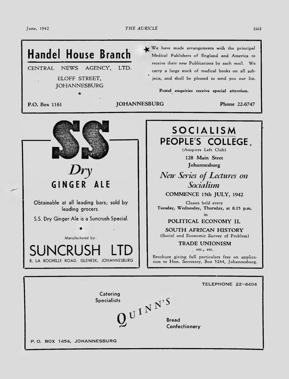

June, 1942 *THE AURICLE* (iii)

## Handel House Branch

CENTRAL NEWS AGENCY, LTD. JOHANNESBURG

We have made arrangements with the principal Medical Publishers of England and America to receive their new Publications by each mail. We carry a large stock of medical books on all sub-ELOFF STREET, jects, and shall be pleased to send you our list.

Postal enquiries receive special attention.

## **P.O. Box 1161 IOHANNESBURG Phone 22-6747**



*Q v*

Bread **Confectionery** 

P. O. BOX 1454, JOHANNESBURG